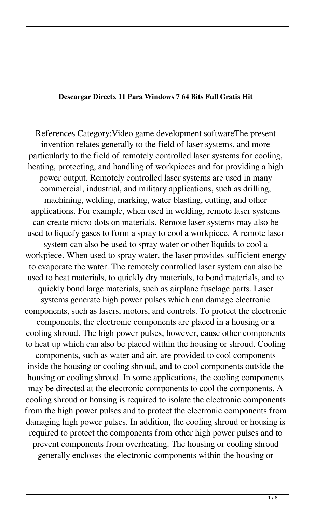## **Descargar Directx 11 Para Windows 7 64 Bits Full Gratis Hit**

References Category:Video game development softwareThe present invention relates generally to the field of laser systems, and more particularly to the field of remotely controlled laser systems for cooling, heating, protecting, and handling of workpieces and for providing a high power output. Remotely controlled laser systems are used in many commercial, industrial, and military applications, such as drilling, machining, welding, marking, water blasting, cutting, and other applications. For example, when used in welding, remote laser systems can create micro-dots on materials. Remote laser systems may also be used to liquefy gases to form a spray to cool a workpiece. A remote laser system can also be used to spray water or other liquids to cool a workpiece. When used to spray water, the laser provides sufficient energy to evaporate the water. The remotely controlled laser system can also be used to heat materials, to quickly dry materials, to bond materials, and to quickly bond large materials, such as airplane fuselage parts. Laser systems generate high power pulses which can damage electronic components, such as lasers, motors, and controls. To protect the electronic components, the electronic components are placed in a housing or a cooling shroud. The high power pulses, however, cause other components to heat up which can also be placed within the housing or shroud. Cooling components, such as water and air, are provided to cool components inside the housing or cooling shroud, and to cool components outside the housing or cooling shroud. In some applications, the cooling components may be directed at the electronic components to cool the components. A cooling shroud or housing is required to isolate the electronic components from the high power pulses and to protect the electronic components from damaging high power pulses. In addition, the cooling shroud or housing is required to protect the components from other high power pulses and to prevent components from overheating. The housing or cooling shroud generally encloses the electronic components within the housing or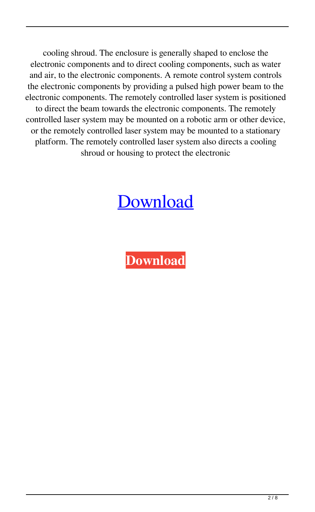cooling shroud. The enclosure is generally shaped to enclose the electronic components and to direct cooling components, such as water and air, to the electronic components. A remote control system controls the electronic components by providing a pulsed high power beam to the electronic components. The remotely controlled laser system is positioned to direct the beam towards the electronic components. The remotely controlled laser system may be mounted on a robotic arm or other device, or the remotely controlled laser system may be mounted to a stationary platform. The remotely controlled laser system also directs a cooling shroud or housing to protect the electronic

## [Download](http://evacdir.com/buybacks/population.ZGVzY2FyZ2FyIGRpcmVjdHggMTEgcGFyYSB3aW5kb3dzIDcgNjQgYml0cyBmdWxsIGdyYXRpcyBoaXQZGV/creationist=flav/interactive.corns?ZG93bmxvYWR8YmEzTVRFNU5YeDhNVFkxTWpjME1EZzJObng4TWpVM05IeDhLRTBwSUhKbFlXUXRZbXh2WnlCYlJtRnpkQ0JIUlU1ZA=thesecurityguide)

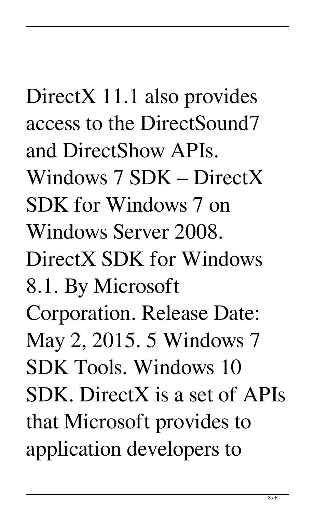## DirectX 11.1 also provides access to the DirectSound7 and DirectShow APIs. Windows 7 SDK – DirectX SDK for Windows 7 on Windows Server 2008. DirectX SDK for Windows 8.1. By Microsoft Corporation. Release Date: May 2, 2015. 5 Windows 7 SDK Tools. Windows 10 SDK. DirectX is a set of APIs that Microsoft provides to application developers to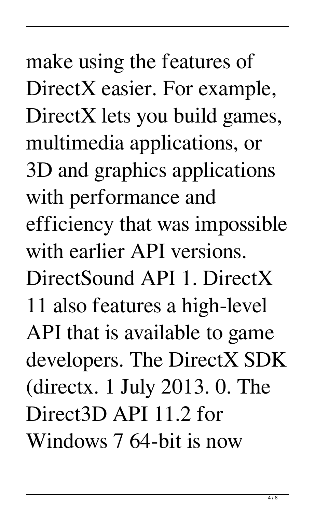make using the features of DirectX easier. For example, DirectX lets you build games, multimedia applications, or 3D and graphics applications with performance and efficiency that was impossible with earlier API versions. DirectSound API 1. DirectX 11 also features a high-level API that is available to game developers. The DirectX SDK (directx. 1 July 2013. 0. The Direct3D API 11.2 for Windows 7 64-bit is now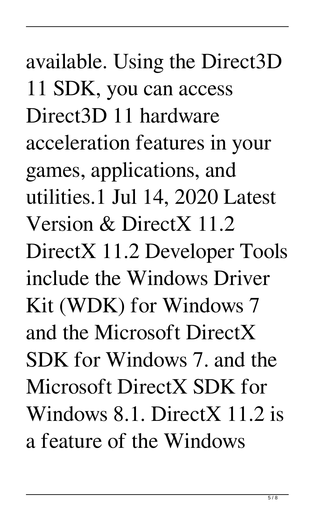available. Using the Direct3D 11 SDK, you can access Direct3D 11 hardware acceleration features in your games, applications, and utilities.1 Jul 14, 2020 Latest Version & DirectX 11.2 DirectX 11.2 Developer Tools include the Windows Driver Kit (WDK) for Windows 7 and the Microsoft DirectX SDK for Windows 7. and the Microsoft DirectX SDK for Windows 8.1. DirectX 11.2 is a feature of the Windows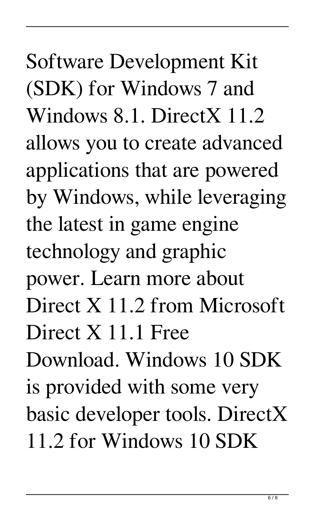Software Development Kit (SDK) for Windows 7 and Windows 8.1. DirectX 11.2 allows you to create advanced applications that are powered by Windows, while leveraging the latest in game engine technology and graphic power. Learn more about Direct X 11.2 from Microsoft Direct X 11.1 Free Download. Windows 10 SDK is provided with some very basic developer tools. DirectX 11.2 for Windows 10 SDK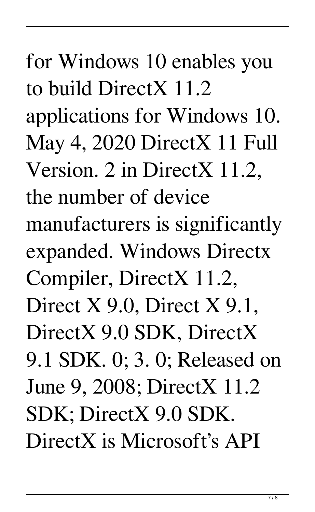for Windows 10 enables you to build DirectX 11.2 applications for Windows 10. May 4, 2020 DirectX 11 Full Version. 2 in DirectX 11.2, the number of device manufacturers is significantly expanded. Windows Directx Compiler, DirectX 11.2, Direct X 9.0, Direct X 9.1, DirectX 9.0 SDK, DirectX 9.1 SDK. 0; 3. 0; Released on June 9, 2008; DirectX 11.2 SDK; DirectX 9.0 SDK. DirectX is Microsoft's API